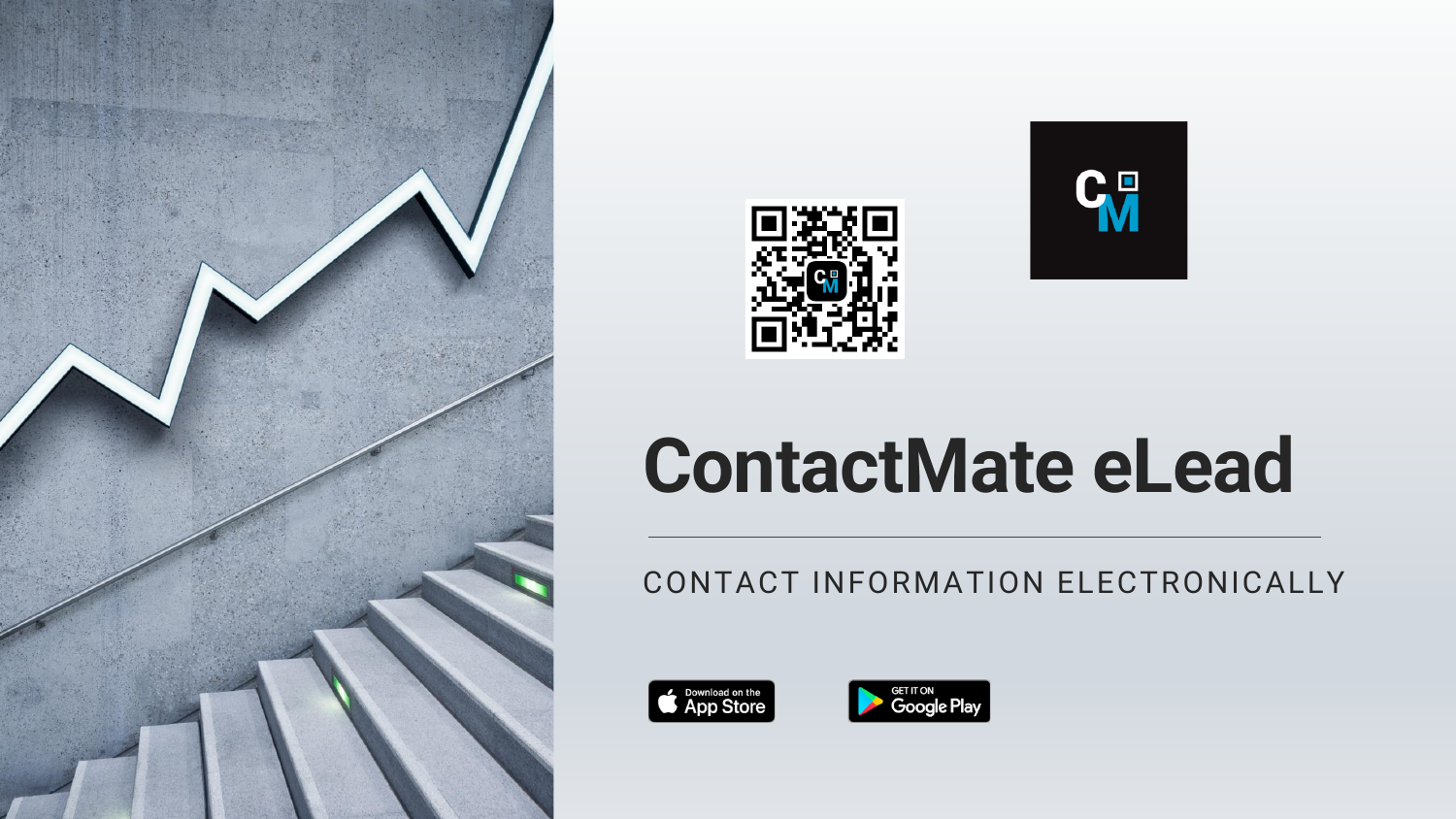





# **ContactMate eLead**

CONTACT INFORMATION ELECTRONICALLY



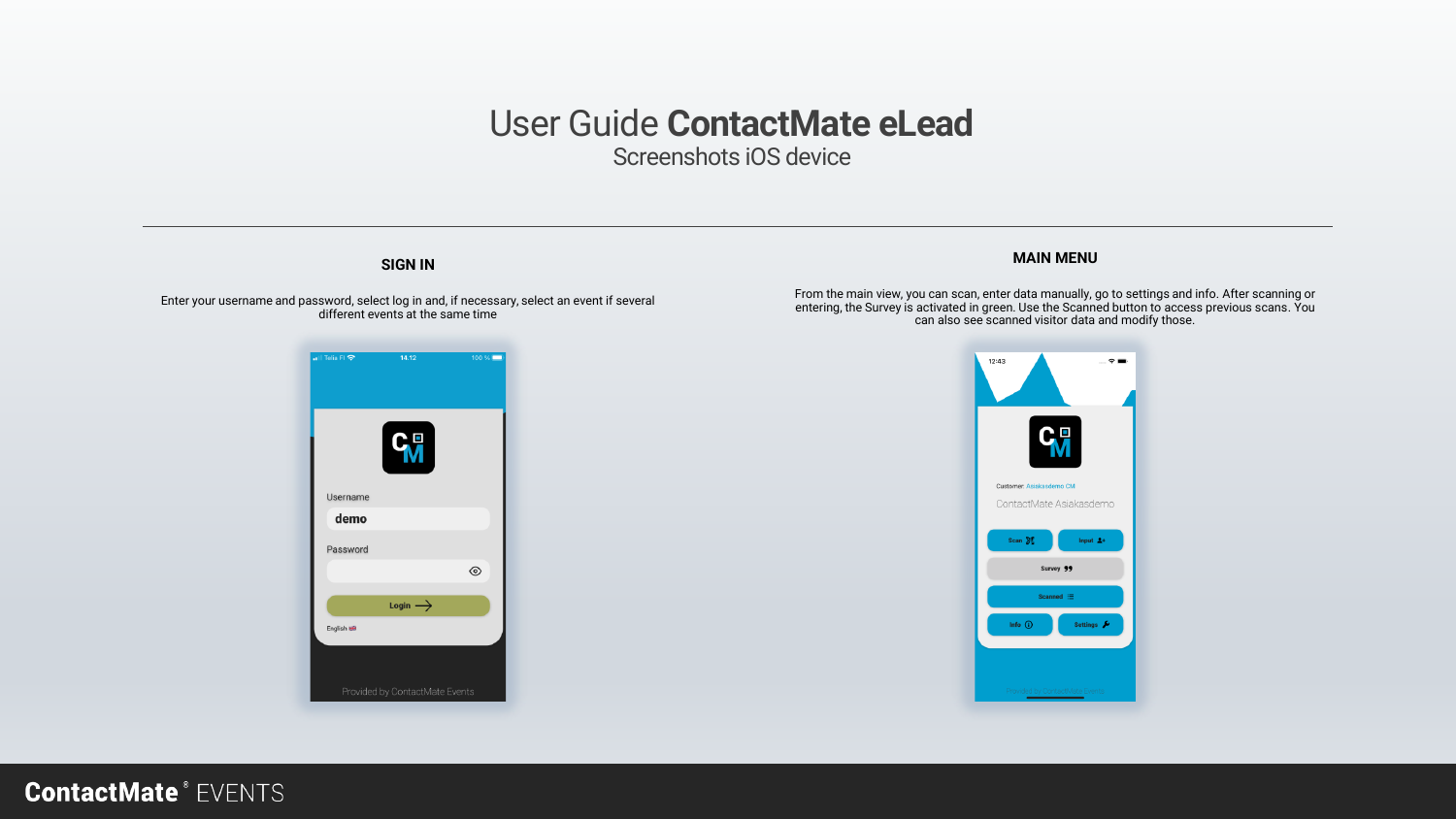Screenshots iOS device

#### **SIGN IN**

Enter your username and password, select log in and, if necessary, select an event if several different events at the same time

### $14.12$ Telia FI <mark>수</mark>  $100\%$ **C<sub>M</sub>** Username demo Password  $\circledcirc$ Login  $\rightarrow$ English HB

#### **MAIN MENU**

From the main view, you can scan, enter data manually, go to settings and info. After scanning or entering, the Survey is activated in green. Use the Scanned button to access previous scans. You can also see scanned visitor data and modify those.

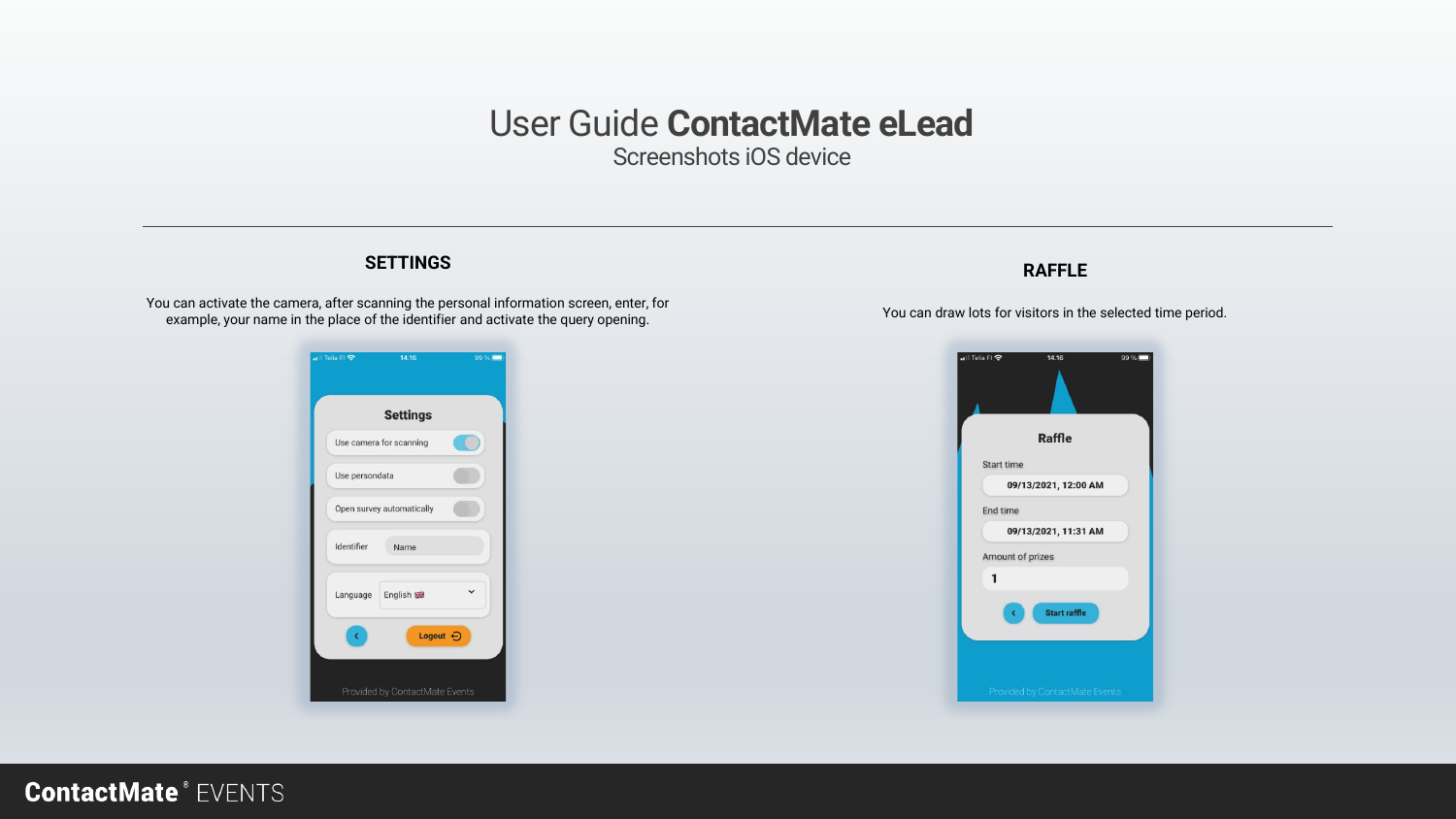Screenshots iOS device

#### **SETTINGS**

You can activate the camera, after scanning the personal information screen, enter, for example, your name in the place of the identifier and activate the query opening.



#### **RAFFLE**

You can draw lots for visitors in the selected time period.

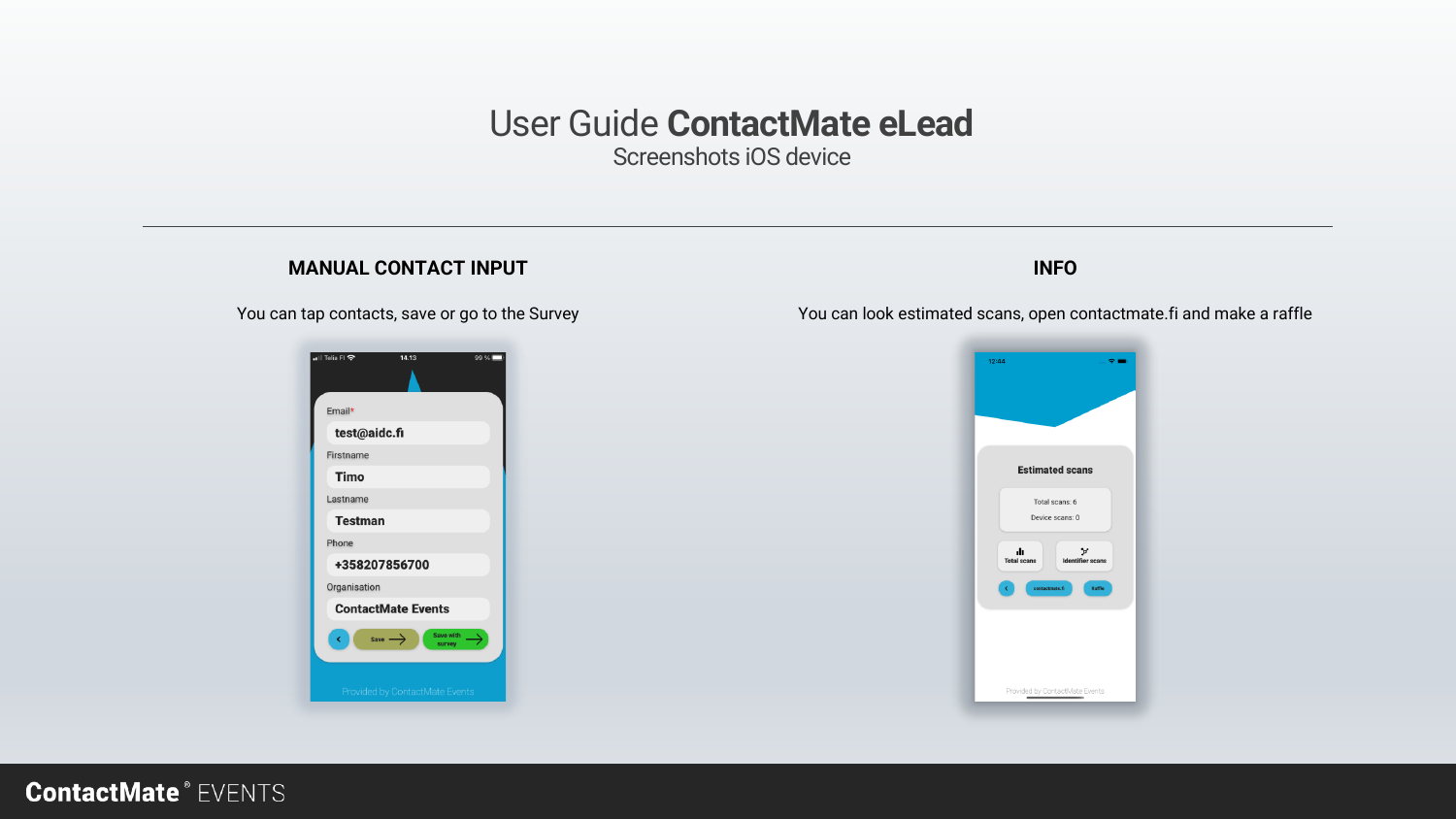Screenshots iOS device

#### **MANUAL CONTACT INPUT**

You can tap contacts, save or go to the Survey



#### **INFO**

You can look estimated scans, open contactmate.fi and make a raffle

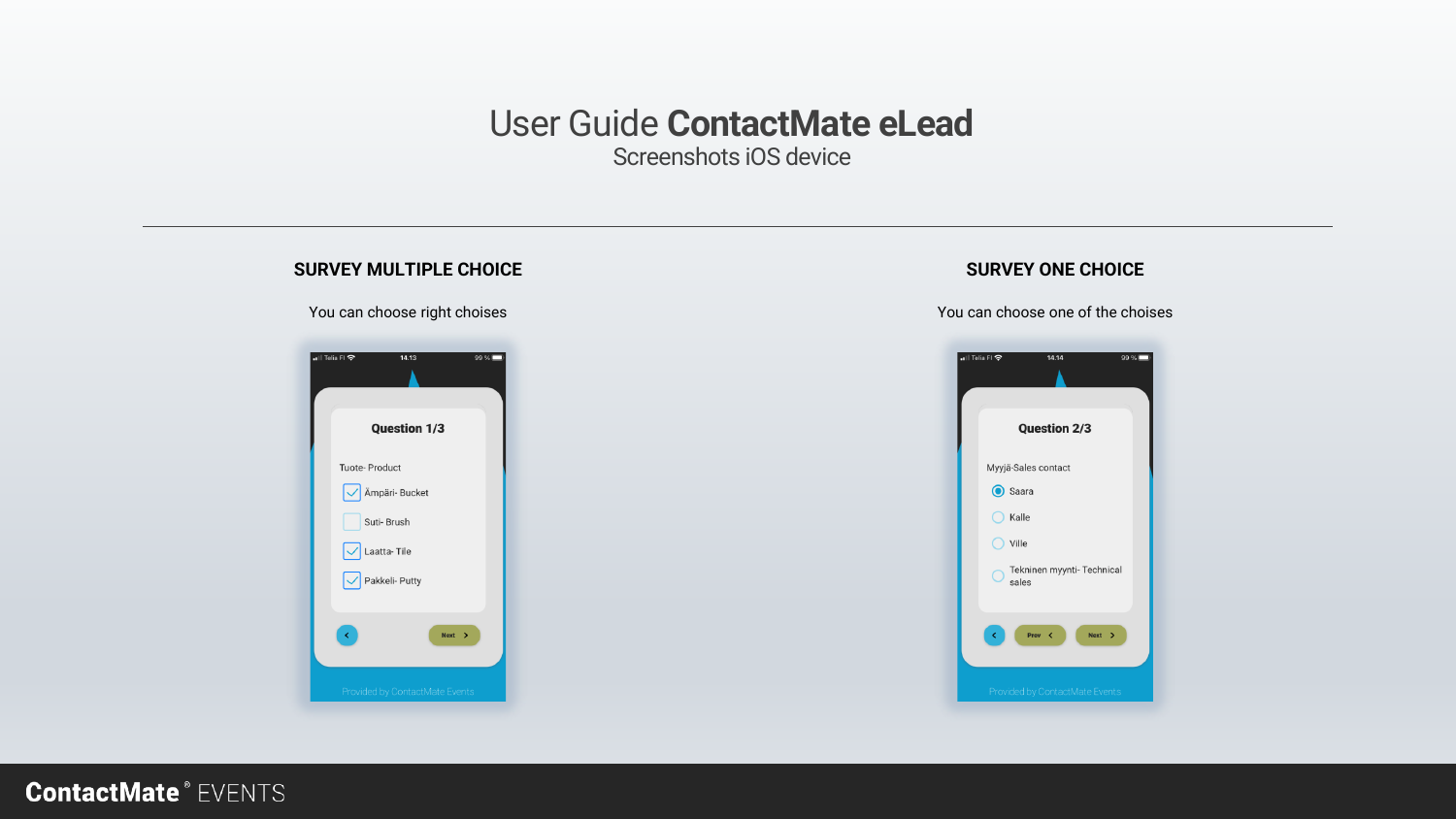Screenshots iOS device

#### **SURVEY MULTIPLE CHOICE**

You can choose right choises



#### **SURVEY ONE CHOICE**

You can choose one of the choises

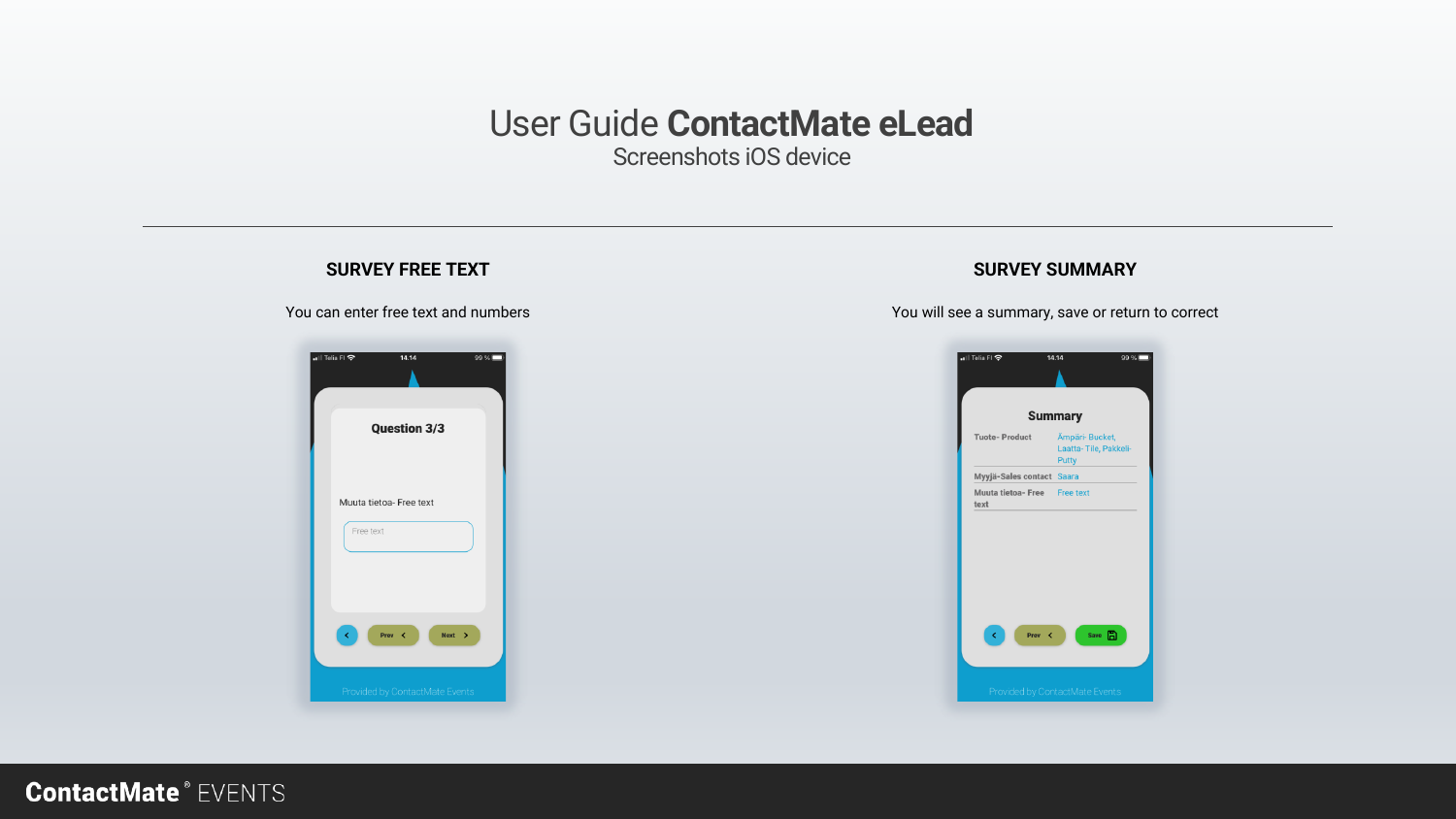Screenshots iOS device

#### **SURVEY FREE TEXT SURVEY SUMMARY** You can enter free text and numbers You will see a summary, save or return to correctall Telia Fl 중  $14.14$  $99\%$ all Telia FI 중  $14.14$  $99\%$ **Summary Question 3/3 Tuote-Product** Ämpäri- Bucket, Laatta-Tile, Pakkeli-Putty Myyjä-Sales contact Saara Muuta tietoa- Free Free text Muuta tietoa- Free text text Free text Prev <  $Next$  > Save **n**